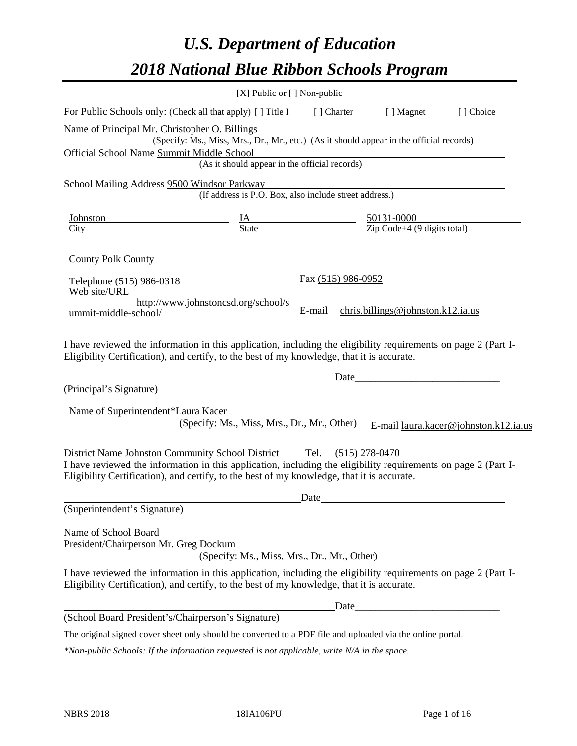# *U.S. Department of Education 2018 National Blue Ribbon Schools Program*

|                                                                                                                                                                                                                                                                                      | [X] Public or [] Non-public                                                              |                                                                                                  |                                                   |                                       |
|--------------------------------------------------------------------------------------------------------------------------------------------------------------------------------------------------------------------------------------------------------------------------------------|------------------------------------------------------------------------------------------|--------------------------------------------------------------------------------------------------|---------------------------------------------------|---------------------------------------|
| For Public Schools only: (Check all that apply) [ ] Title I                                                                                                                                                                                                                          |                                                                                          |                                                                                                  | [] Charter [] Magnet                              | [] Choice                             |
| Name of Principal Mr. Christopher O. Billings<br>Official School Name Summit Middle School                                                                                                                                                                                           | (Specify: Ms., Miss, Mrs., Dr., Mr., etc.) (As it should appear in the official records) |                                                                                                  |                                                   |                                       |
|                                                                                                                                                                                                                                                                                      | (As it should appear in the official records)                                            |                                                                                                  |                                                   |                                       |
| School Mailing Address 9500 Windsor Parkway                                                                                                                                                                                                                                          | (If address is P.O. Box, also include street address.)                                   |                                                                                                  |                                                   |                                       |
| Johnston                                                                                                                                                                                                                                                                             |                                                                                          | $\frac{\text{IA}}{\text{State}}$ $\frac{50131-0000}{\text{Zip Code}+4 (9 \text{ digits total})}$ |                                                   |                                       |
| City                                                                                                                                                                                                                                                                                 |                                                                                          |                                                                                                  |                                                   |                                       |
| County Polk County                                                                                                                                                                                                                                                                   |                                                                                          |                                                                                                  |                                                   |                                       |
| Telephone (515) 986-0318<br>Web site/URL                                                                                                                                                                                                                                             |                                                                                          | Fax (515) 986-0952                                                                               |                                                   |                                       |
| ummit-middle-school/                                                                                                                                                                                                                                                                 | http://www.johnstoncsd.org/school/s                                                      | E-mail                                                                                           | chris.billings@johnston.k12.ia.us                 |                                       |
| Eligibility Certification), and certify, to the best of my knowledge, that it is accurate.<br>(Principal's Signature)                                                                                                                                                                |                                                                                          | Date                                                                                             | <u> 1989 - Johann Barbara, martxa alemaniar a</u> |                                       |
|                                                                                                                                                                                                                                                                                      |                                                                                          |                                                                                                  |                                                   |                                       |
| Name of Superintendent*Laura Kacer                                                                                                                                                                                                                                                   | (Specify: Ms., Miss, Mrs., Dr., Mr., Other)                                              |                                                                                                  |                                                   | E-mail laura.kacer@johnston.k12.ia.us |
| District Name Johnston Community School District Tel. (515) 278-0470<br>I have reviewed the information in this application, including the eligibility requirements on page 2 (Part I-<br>Eligibility Certification), and certify, to the best of my knowledge, that it is accurate. |                                                                                          |                                                                                                  |                                                   |                                       |
|                                                                                                                                                                                                                                                                                      |                                                                                          | Date                                                                                             |                                                   |                                       |
| (Superintendent's Signature)                                                                                                                                                                                                                                                         |                                                                                          |                                                                                                  |                                                   |                                       |
| Name of School Board<br>President/Chairperson Mr. Greg Dockum                                                                                                                                                                                                                        | (Specify: Ms., Miss, Mrs., Dr., Mr., Other)                                              |                                                                                                  |                                                   |                                       |
| I have reviewed the information in this application, including the eligibility requirements on page 2 (Part I-<br>Eligibility Certification), and certify, to the best of my knowledge, that it is accurate.                                                                         |                                                                                          |                                                                                                  |                                                   |                                       |
|                                                                                                                                                                                                                                                                                      |                                                                                          | Date                                                                                             |                                                   |                                       |
| (School Board President's/Chairperson's Signature)                                                                                                                                                                                                                                   |                                                                                          |                                                                                                  |                                                   |                                       |
| The original signed cover sheet only should be converted to a PDF file and uploaded via the online portal.                                                                                                                                                                           |                                                                                          |                                                                                                  |                                                   |                                       |

*\*Non-public Schools: If the information requested is not applicable, write N/A in the space.*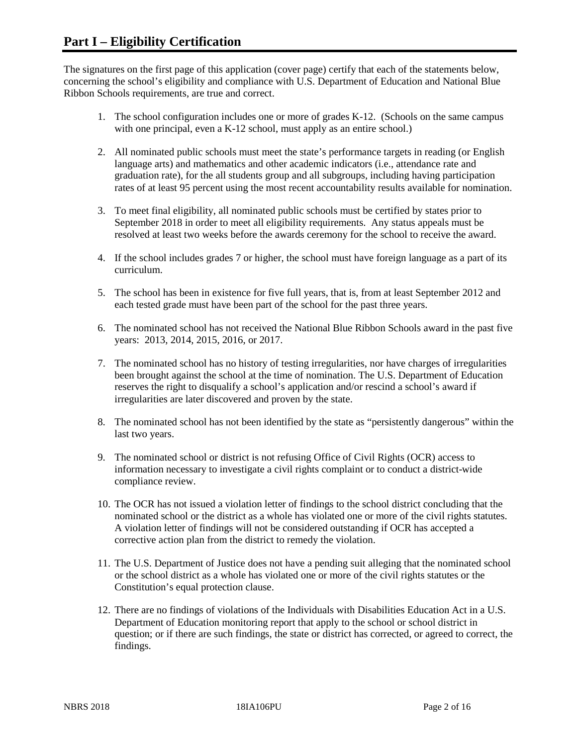The signatures on the first page of this application (cover page) certify that each of the statements below, concerning the school's eligibility and compliance with U.S. Department of Education and National Blue Ribbon Schools requirements, are true and correct.

- 1. The school configuration includes one or more of grades K-12. (Schools on the same campus with one principal, even a K-12 school, must apply as an entire school.)
- 2. All nominated public schools must meet the state's performance targets in reading (or English language arts) and mathematics and other academic indicators (i.e., attendance rate and graduation rate), for the all students group and all subgroups, including having participation rates of at least 95 percent using the most recent accountability results available for nomination.
- 3. To meet final eligibility, all nominated public schools must be certified by states prior to September 2018 in order to meet all eligibility requirements. Any status appeals must be resolved at least two weeks before the awards ceremony for the school to receive the award.
- 4. If the school includes grades 7 or higher, the school must have foreign language as a part of its curriculum.
- 5. The school has been in existence for five full years, that is, from at least September 2012 and each tested grade must have been part of the school for the past three years.
- 6. The nominated school has not received the National Blue Ribbon Schools award in the past five years: 2013, 2014, 2015, 2016, or 2017.
- 7. The nominated school has no history of testing irregularities, nor have charges of irregularities been brought against the school at the time of nomination. The U.S. Department of Education reserves the right to disqualify a school's application and/or rescind a school's award if irregularities are later discovered and proven by the state.
- 8. The nominated school has not been identified by the state as "persistently dangerous" within the last two years.
- 9. The nominated school or district is not refusing Office of Civil Rights (OCR) access to information necessary to investigate a civil rights complaint or to conduct a district-wide compliance review.
- 10. The OCR has not issued a violation letter of findings to the school district concluding that the nominated school or the district as a whole has violated one or more of the civil rights statutes. A violation letter of findings will not be considered outstanding if OCR has accepted a corrective action plan from the district to remedy the violation.
- 11. The U.S. Department of Justice does not have a pending suit alleging that the nominated school or the school district as a whole has violated one or more of the civil rights statutes or the Constitution's equal protection clause.
- 12. There are no findings of violations of the Individuals with Disabilities Education Act in a U.S. Department of Education monitoring report that apply to the school or school district in question; or if there are such findings, the state or district has corrected, or agreed to correct, the findings.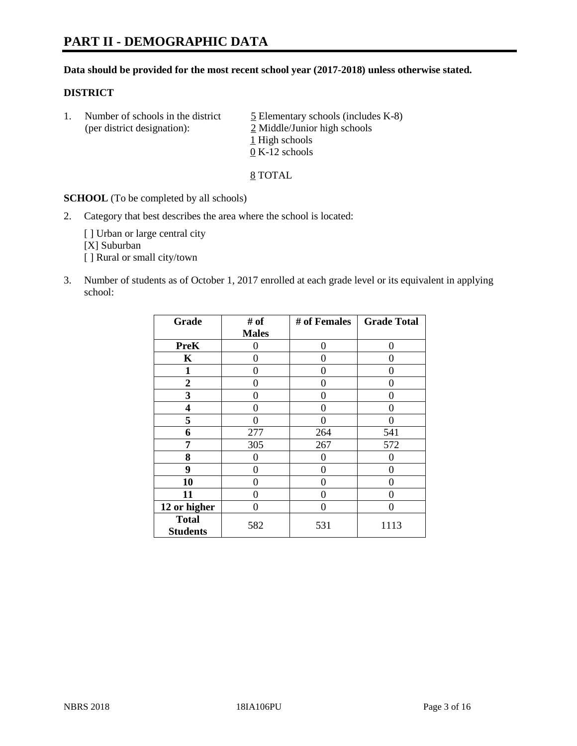### **Data should be provided for the most recent school year (2017-2018) unless otherwise stated.**

# **DISTRICT**

1. Number of schools in the district  $\frac{5}{2}$  Elementary schools (includes K-8) (per district designation): 2 Middle/Junior high schools 1 High schools 0 K-12 schools

8 TOTAL

**SCHOOL** (To be completed by all schools)

2. Category that best describes the area where the school is located:

[] Urban or large central city [X] Suburban [] Rural or small city/town

3. Number of students as of October 1, 2017 enrolled at each grade level or its equivalent in applying school:

| Grade                           | # of         | # of Females | <b>Grade Total</b> |
|---------------------------------|--------------|--------------|--------------------|
|                                 | <b>Males</b> |              |                    |
| <b>PreK</b>                     | 0            | $\Omega$     | 0                  |
| $\mathbf K$                     | 0            | 0            | 0                  |
| 1                               | 0            | 0            | 0                  |
| 2                               | 0            | 0            | 0                  |
| 3                               | 0            | 0            | 0                  |
| 4                               | 0            | 0            | 0                  |
| 5                               | 0            | 0            |                    |
| 6                               | 277          | 264          | 541                |
| 7                               | 305          | 267          | 572                |
| 8                               | 0            | 0            |                    |
| 9                               | 0            | 0            | 0                  |
| 10                              | 0            | 0            | 0                  |
| 11                              | 0            | 0            | 0                  |
| 12 or higher                    | 0            | 0            | 0                  |
| <b>Total</b><br><b>Students</b> | 582          | 531          | 1113               |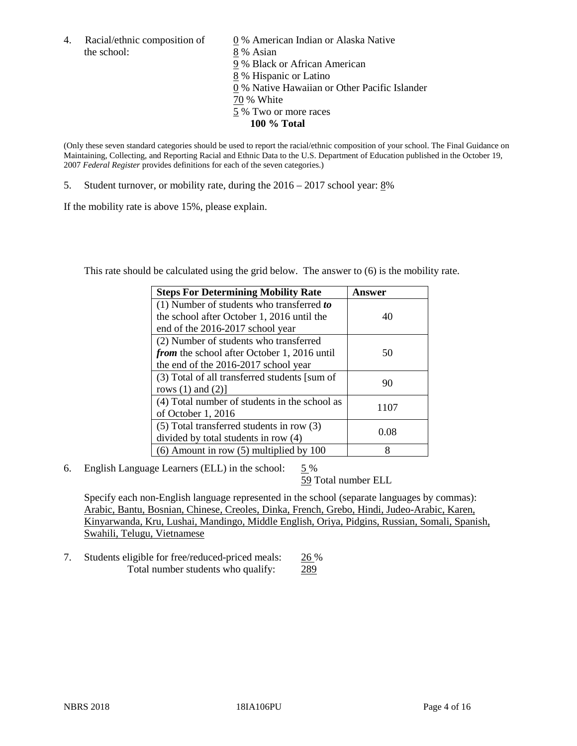the school: 8 % Asian

4. Racial/ethnic composition of  $\qquad 0\%$  American Indian or Alaska Native 9 % Black or African American 8 % Hispanic or Latino 0 % Native Hawaiian or Other Pacific Islander 70 % White 5 % Two or more races **100 % Total**

(Only these seven standard categories should be used to report the racial/ethnic composition of your school. The Final Guidance on Maintaining, Collecting, and Reporting Racial and Ethnic Data to the U.S. Department of Education published in the October 19, 2007 *Federal Register* provides definitions for each of the seven categories.)

5. Student turnover, or mobility rate, during the 2016 – 2017 school year: 8%

If the mobility rate is above 15%, please explain.

This rate should be calculated using the grid below. The answer to (6) is the mobility rate.

| <b>Steps For Determining Mobility Rate</b>         | Answer |
|----------------------------------------------------|--------|
| (1) Number of students who transferred to          |        |
| the school after October 1, 2016 until the         | 40     |
| end of the 2016-2017 school year                   |        |
| (2) Number of students who transferred             |        |
| <i>from</i> the school after October 1, 2016 until | 50     |
| the end of the 2016-2017 school year               |        |
| (3) Total of all transferred students [sum of      |        |
| rows $(1)$ and $(2)$ ]                             | 90     |
| (4) Total number of students in the school as      |        |
| of October 1, 2016                                 | 1107   |
| (5) Total transferred students in row (3)          |        |
| divided by total students in row (4)               | 0.08   |
| $(6)$ Amount in row $(5)$ multiplied by 100        | 8      |

6. English Language Learners (ELL) in the school:  $5\%$ 

59 Total number ELL

Specify each non-English language represented in the school (separate languages by commas): Arabic, Bantu, Bosnian, Chinese, Creoles, Dinka, French, Grebo, Hindi, Judeo-Arabic, Karen, Kinyarwanda, Kru, Lushai, Mandingo, Middle English, Oriya, Pidgins, Russian, Somali, Spanish, Swahili, Telugu, Vietnamese

7. Students eligible for free/reduced-priced meals: 26 % Total number students who qualify: 289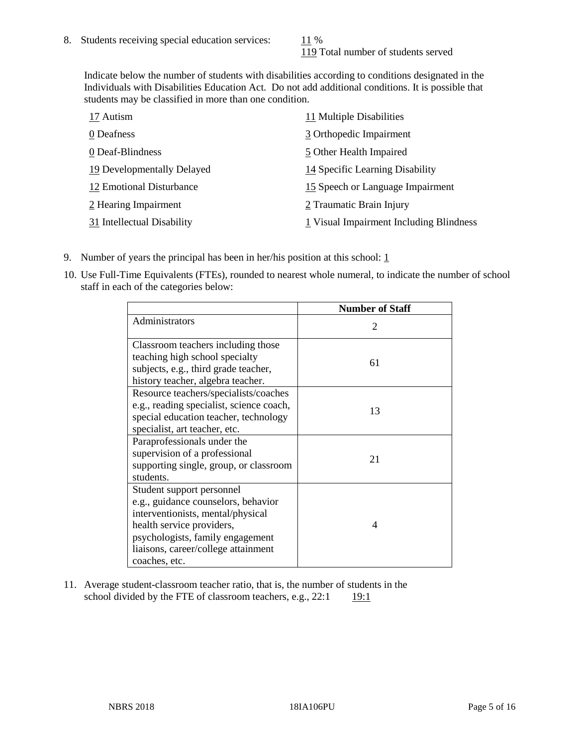119 Total number of students served

Indicate below the number of students with disabilities according to conditions designated in the Individuals with Disabilities Education Act. Do not add additional conditions. It is possible that students may be classified in more than one condition.

| 17 Autism                  | 11 Multiple Disabilities                |
|----------------------------|-----------------------------------------|
| 0 Deafness                 | 3 Orthopedic Impairment                 |
| 0 Deaf-Blindness           | 5 Other Health Impaired                 |
| 19 Developmentally Delayed | 14 Specific Learning Disability         |
| 12 Emotional Disturbance   | 15 Speech or Language Impairment        |
| 2 Hearing Impairment       | 2 Traumatic Brain Injury                |
| 31 Intellectual Disability | 1 Visual Impairment Including Blindness |

- 9. Number of years the principal has been in her/his position at this school:  $1$
- 10. Use Full-Time Equivalents (FTEs), rounded to nearest whole numeral, to indicate the number of school staff in each of the categories below:

|                                                                                                                                                                                                                                | <b>Number of Staff</b>      |
|--------------------------------------------------------------------------------------------------------------------------------------------------------------------------------------------------------------------------------|-----------------------------|
| Administrators                                                                                                                                                                                                                 | $\mathcal{D}_{\mathcal{L}}$ |
| Classroom teachers including those<br>teaching high school specialty<br>subjects, e.g., third grade teacher,<br>history teacher, algebra teacher.                                                                              | 61                          |
| Resource teachers/specialists/coaches<br>e.g., reading specialist, science coach,<br>special education teacher, technology<br>specialist, art teacher, etc.                                                                    | 13                          |
| Paraprofessionals under the<br>supervision of a professional<br>supporting single, group, or classroom<br>students.                                                                                                            | 21                          |
| Student support personnel<br>e.g., guidance counselors, behavior<br>interventionists, mental/physical<br>health service providers,<br>psychologists, family engagement<br>liaisons, career/college attainment<br>coaches, etc. | 4                           |

11. Average student-classroom teacher ratio, that is, the number of students in the school divided by the FTE of classroom teachers, e.g.,  $22:1$  19:1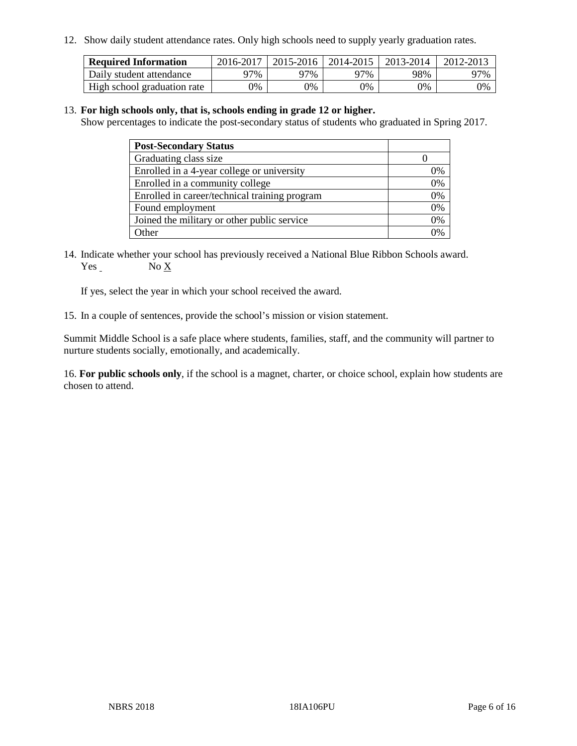12. Show daily student attendance rates. Only high schools need to supply yearly graduation rates.

| <b>Required Information</b> | 2016-2017 | $2015 - 2016$ | 2014-2015 | 2013-2014 | 2012-2013 |
|-----------------------------|-----------|---------------|-----------|-----------|-----------|
| Daily student attendance    | 97%       | 97%           | 97%       | 98%       | 97%       |
| High school graduation rate | 0%        | 0%            | 0%        | 9%        | 0%        |

#### 13. **For high schools only, that is, schools ending in grade 12 or higher.**

Show percentages to indicate the post-secondary status of students who graduated in Spring 2017.

| <b>Post-Secondary Status</b>                  |    |
|-----------------------------------------------|----|
| Graduating class size                         |    |
| Enrolled in a 4-year college or university    | 0% |
| Enrolled in a community college               | 0% |
| Enrolled in career/technical training program | 0% |
| Found employment                              | 0% |
| Joined the military or other public service   | 0% |
| Other                                         | ገ% |

14. Indicate whether your school has previously received a National Blue Ribbon Schools award. Yes No X

If yes, select the year in which your school received the award.

15. In a couple of sentences, provide the school's mission or vision statement.

Summit Middle School is a safe place where students, families, staff, and the community will partner to nurture students socially, emotionally, and academically.

16. **For public schools only**, if the school is a magnet, charter, or choice school, explain how students are chosen to attend.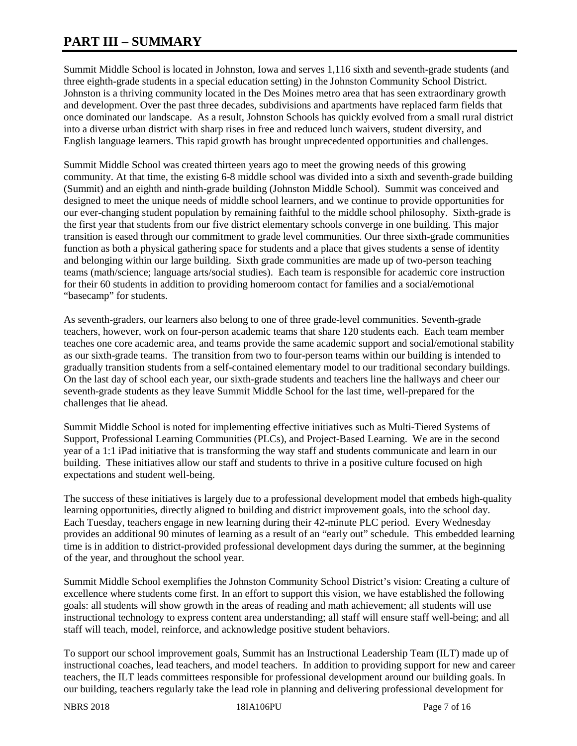# **PART III – SUMMARY**

Summit Middle School is located in Johnston, Iowa and serves 1,116 sixth and seventh-grade students (and three eighth-grade students in a special education setting) in the Johnston Community School District. Johnston is a thriving community located in the Des Moines metro area that has seen extraordinary growth and development. Over the past three decades, subdivisions and apartments have replaced farm fields that once dominated our landscape. As a result, Johnston Schools has quickly evolved from a small rural district into a diverse urban district with sharp rises in free and reduced lunch waivers, student diversity, and English language learners. This rapid growth has brought unprecedented opportunities and challenges.

Summit Middle School was created thirteen years ago to meet the growing needs of this growing community. At that time, the existing 6-8 middle school was divided into a sixth and seventh-grade building (Summit) and an eighth and ninth-grade building (Johnston Middle School). Summit was conceived and designed to meet the unique needs of middle school learners, and we continue to provide opportunities for our ever-changing student population by remaining faithful to the middle school philosophy. Sixth-grade is the first year that students from our five district elementary schools converge in one building. This major transition is eased through our commitment to grade level communities. Our three sixth-grade communities function as both a physical gathering space for students and a place that gives students a sense of identity and belonging within our large building. Sixth grade communities are made up of two-person teaching teams (math/science; language arts/social studies). Each team is responsible for academic core instruction for their 60 students in addition to providing homeroom contact for families and a social/emotional "basecamp" for students.

As seventh-graders, our learners also belong to one of three grade-level communities. Seventh-grade teachers, however, work on four-person academic teams that share 120 students each. Each team member teaches one core academic area, and teams provide the same academic support and social/emotional stability as our sixth-grade teams. The transition from two to four-person teams within our building is intended to gradually transition students from a self-contained elementary model to our traditional secondary buildings. On the last day of school each year, our sixth-grade students and teachers line the hallways and cheer our seventh-grade students as they leave Summit Middle School for the last time, well-prepared for the challenges that lie ahead.

Summit Middle School is noted for implementing effective initiatives such as Multi-Tiered Systems of Support, Professional Learning Communities (PLCs), and Project-Based Learning. We are in the second year of a 1:1 iPad initiative that is transforming the way staff and students communicate and learn in our building. These initiatives allow our staff and students to thrive in a positive culture focused on high expectations and student well-being.

The success of these initiatives is largely due to a professional development model that embeds high-quality learning opportunities, directly aligned to building and district improvement goals, into the school day. Each Tuesday, teachers engage in new learning during their 42-minute PLC period. Every Wednesday provides an additional 90 minutes of learning as a result of an "early out" schedule. This embedded learning time is in addition to district-provided professional development days during the summer, at the beginning of the year, and throughout the school year.

Summit Middle School exemplifies the Johnston Community School District's vision: Creating a culture of excellence where students come first. In an effort to support this vision, we have established the following goals: all students will show growth in the areas of reading and math achievement; all students will use instructional technology to express content area understanding; all staff will ensure staff well-being; and all staff will teach, model, reinforce, and acknowledge positive student behaviors.

To support our school improvement goals, Summit has an Instructional Leadership Team (ILT) made up of instructional coaches, lead teachers, and model teachers. In addition to providing support for new and career teachers, the ILT leads committees responsible for professional development around our building goals. In our building, teachers regularly take the lead role in planning and delivering professional development for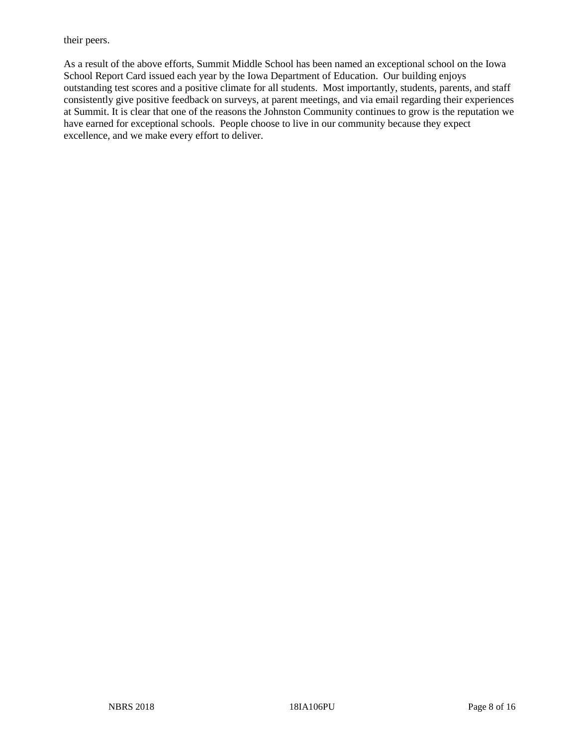their peers.

As a result of the above efforts, Summit Middle School has been named an exceptional school on the Iowa School Report Card issued each year by the Iowa Department of Education. Our building enjoys outstanding test scores and a positive climate for all students. Most importantly, students, parents, and staff consistently give positive feedback on surveys, at parent meetings, and via email regarding their experiences at Summit. It is clear that one of the reasons the Johnston Community continues to grow is the reputation we have earned for exceptional schools. People choose to live in our community because they expect excellence, and we make every effort to deliver.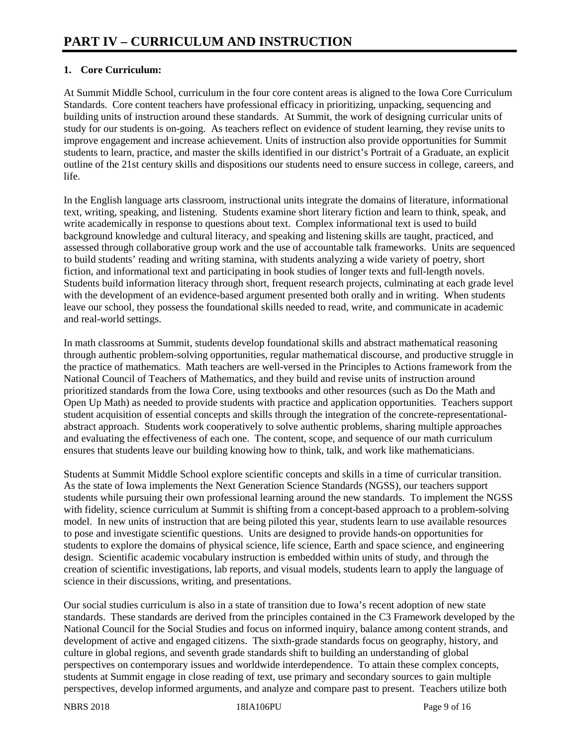# **1. Core Curriculum:**

At Summit Middle School, curriculum in the four core content areas is aligned to the Iowa Core Curriculum Standards. Core content teachers have professional efficacy in prioritizing, unpacking, sequencing and building units of instruction around these standards. At Summit, the work of designing curricular units of study for our students is on-going. As teachers reflect on evidence of student learning, they revise units to improve engagement and increase achievement. Units of instruction also provide opportunities for Summit students to learn, practice, and master the skills identified in our district's Portrait of a Graduate, an explicit outline of the 21st century skills and dispositions our students need to ensure success in college, careers, and life.

In the English language arts classroom, instructional units integrate the domains of literature, informational text, writing, speaking, and listening. Students examine short literary fiction and learn to think, speak, and write academically in response to questions about text. Complex informational text is used to build background knowledge and cultural literacy, and speaking and listening skills are taught, practiced, and assessed through collaborative group work and the use of accountable talk frameworks. Units are sequenced to build students' reading and writing stamina, with students analyzing a wide variety of poetry, short fiction, and informational text and participating in book studies of longer texts and full-length novels. Students build information literacy through short, frequent research projects, culminating at each grade level with the development of an evidence-based argument presented both orally and in writing. When students leave our school, they possess the foundational skills needed to read, write, and communicate in academic and real-world settings.

In math classrooms at Summit, students develop foundational skills and abstract mathematical reasoning through authentic problem-solving opportunities, regular mathematical discourse, and productive struggle in the practice of mathematics. Math teachers are well-versed in the Principles to Actions framework from the National Council of Teachers of Mathematics, and they build and revise units of instruction around prioritized standards from the Iowa Core, using textbooks and other resources (such as Do the Math and Open Up Math) as needed to provide students with practice and application opportunities. Teachers support student acquisition of essential concepts and skills through the integration of the concrete-representationalabstract approach. Students work cooperatively to solve authentic problems, sharing multiple approaches and evaluating the effectiveness of each one. The content, scope, and sequence of our math curriculum ensures that students leave our building knowing how to think, talk, and work like mathematicians.

Students at Summit Middle School explore scientific concepts and skills in a time of curricular transition. As the state of Iowa implements the Next Generation Science Standards (NGSS), our teachers support students while pursuing their own professional learning around the new standards. To implement the NGSS with fidelity, science curriculum at Summit is shifting from a concept-based approach to a problem-solving model. In new units of instruction that are being piloted this year, students learn to use available resources to pose and investigate scientific questions. Units are designed to provide hands-on opportunities for students to explore the domains of physical science, life science, Earth and space science, and engineering design. Scientific academic vocabulary instruction is embedded within units of study, and through the creation of scientific investigations, lab reports, and visual models, students learn to apply the language of science in their discussions, writing, and presentations.

Our social studies curriculum is also in a state of transition due to Iowa's recent adoption of new state standards. These standards are derived from the principles contained in the C3 Framework developed by the National Council for the Social Studies and focus on informed inquiry, balance among content strands, and development of active and engaged citizens. The sixth-grade standards focus on geography, history, and culture in global regions, and seventh grade standards shift to building an understanding of global perspectives on contemporary issues and worldwide interdependence. To attain these complex concepts, students at Summit engage in close reading of text, use primary and secondary sources to gain multiple perspectives, develop informed arguments, and analyze and compare past to present. Teachers utilize both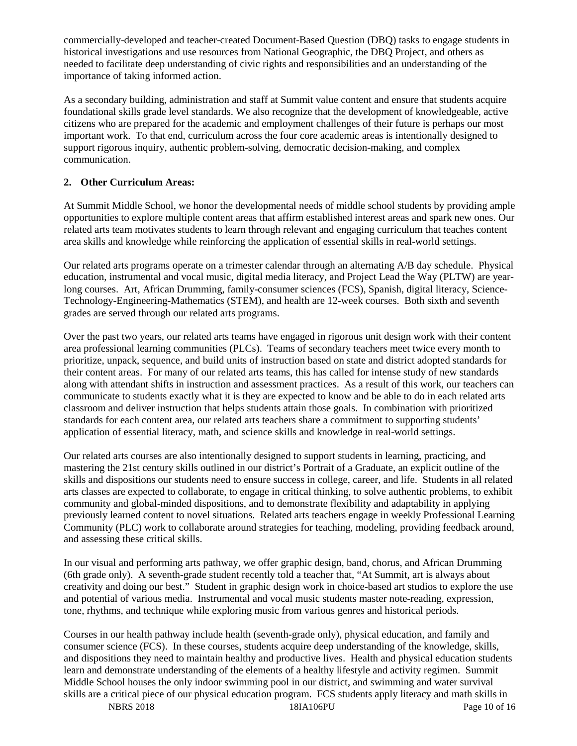commercially-developed and teacher-created Document-Based Question (DBQ) tasks to engage students in historical investigations and use resources from National Geographic, the DBQ Project, and others as needed to facilitate deep understanding of civic rights and responsibilities and an understanding of the importance of taking informed action.

As a secondary building, administration and staff at Summit value content and ensure that students acquire foundational skills grade level standards. We also recognize that the development of knowledgeable, active citizens who are prepared for the academic and employment challenges of their future is perhaps our most important work. To that end, curriculum across the four core academic areas is intentionally designed to support rigorous inquiry, authentic problem-solving, democratic decision-making, and complex communication.

# **2. Other Curriculum Areas:**

At Summit Middle School, we honor the developmental needs of middle school students by providing ample opportunities to explore multiple content areas that affirm established interest areas and spark new ones. Our related arts team motivates students to learn through relevant and engaging curriculum that teaches content area skills and knowledge while reinforcing the application of essential skills in real-world settings.

Our related arts programs operate on a trimester calendar through an alternating A/B day schedule. Physical education, instrumental and vocal music, digital media literacy, and Project Lead the Way (PLTW) are yearlong courses. Art, African Drumming, family-consumer sciences (FCS), Spanish, digital literacy, Science-Technology-Engineering-Mathematics (STEM), and health are 12-week courses. Both sixth and seventh grades are served through our related arts programs.

Over the past two years, our related arts teams have engaged in rigorous unit design work with their content area professional learning communities (PLCs). Teams of secondary teachers meet twice every month to prioritize, unpack, sequence, and build units of instruction based on state and district adopted standards for their content areas. For many of our related arts teams, this has called for intense study of new standards along with attendant shifts in instruction and assessment practices. As a result of this work, our teachers can communicate to students exactly what it is they are expected to know and be able to do in each related arts classroom and deliver instruction that helps students attain those goals. In combination with prioritized standards for each content area, our related arts teachers share a commitment to supporting students' application of essential literacy, math, and science skills and knowledge in real-world settings.

Our related arts courses are also intentionally designed to support students in learning, practicing, and mastering the 21st century skills outlined in our district's Portrait of a Graduate, an explicit outline of the skills and dispositions our students need to ensure success in college, career, and life. Students in all related arts classes are expected to collaborate, to engage in critical thinking, to solve authentic problems, to exhibit community and global-minded dispositions, and to demonstrate flexibility and adaptability in applying previously learned content to novel situations. Related arts teachers engage in weekly Professional Learning Community (PLC) work to collaborate around strategies for teaching, modeling, providing feedback around, and assessing these critical skills.

In our visual and performing arts pathway, we offer graphic design, band, chorus, and African Drumming (6th grade only). A seventh-grade student recently told a teacher that, "At Summit, art is always about creativity and doing our best." Student in graphic design work in choice-based art studios to explore the use and potential of various media. Instrumental and vocal music students master note-reading, expression, tone, rhythms, and technique while exploring music from various genres and historical periods.

Courses in our health pathway include health (seventh-grade only), physical education, and family and consumer science (FCS). In these courses, students acquire deep understanding of the knowledge, skills, and dispositions they need to maintain healthy and productive lives. Health and physical education students learn and demonstrate understanding of the elements of a healthy lifestyle and activity regimen. Summit Middle School houses the only indoor swimming pool in our district, and swimming and water survival skills are a critical piece of our physical education program. FCS students apply literacy and math skills in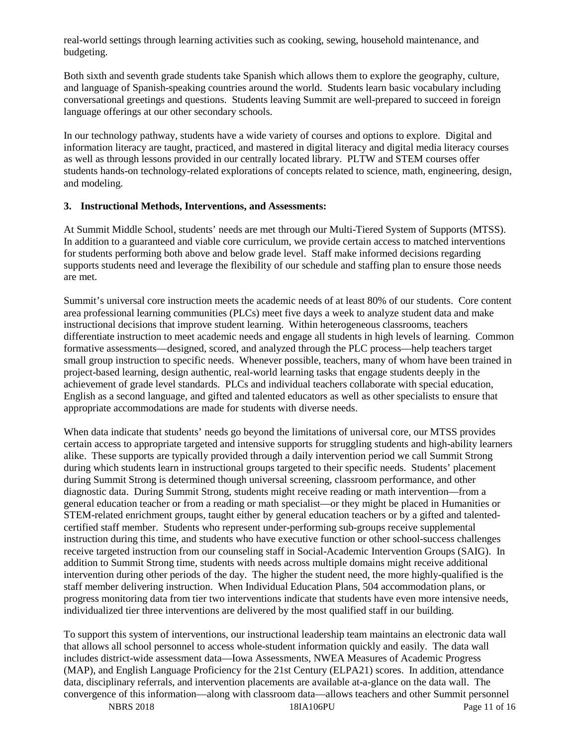real-world settings through learning activities such as cooking, sewing, household maintenance, and budgeting.

Both sixth and seventh grade students take Spanish which allows them to explore the geography, culture, and language of Spanish-speaking countries around the world. Students learn basic vocabulary including conversational greetings and questions. Students leaving Summit are well-prepared to succeed in foreign language offerings at our other secondary schools.

In our technology pathway, students have a wide variety of courses and options to explore. Digital and information literacy are taught, practiced, and mastered in digital literacy and digital media literacy courses as well as through lessons provided in our centrally located library. PLTW and STEM courses offer students hands-on technology-related explorations of concepts related to science, math, engineering, design, and modeling.

#### **3. Instructional Methods, Interventions, and Assessments:**

At Summit Middle School, students' needs are met through our Multi-Tiered System of Supports (MTSS). In addition to a guaranteed and viable core curriculum, we provide certain access to matched interventions for students performing both above and below grade level. Staff make informed decisions regarding supports students need and leverage the flexibility of our schedule and staffing plan to ensure those needs are met.

Summit's universal core instruction meets the academic needs of at least 80% of our students. Core content area professional learning communities (PLCs) meet five days a week to analyze student data and make instructional decisions that improve student learning. Within heterogeneous classrooms, teachers differentiate instruction to meet academic needs and engage all students in high levels of learning. Common formative assessments—designed, scored, and analyzed through the PLC process—help teachers target small group instruction to specific needs. Whenever possible, teachers, many of whom have been trained in project-based learning, design authentic, real-world learning tasks that engage students deeply in the achievement of grade level standards. PLCs and individual teachers collaborate with special education, English as a second language, and gifted and talented educators as well as other specialists to ensure that appropriate accommodations are made for students with diverse needs.

When data indicate that students' needs go beyond the limitations of universal core, our MTSS provides certain access to appropriate targeted and intensive supports for struggling students and high-ability learners alike. These supports are typically provided through a daily intervention period we call Summit Strong during which students learn in instructional groups targeted to their specific needs. Students' placement during Summit Strong is determined though universal screening, classroom performance, and other diagnostic data. During Summit Strong, students might receive reading or math intervention—from a general education teacher or from a reading or math specialist—or they might be placed in Humanities or STEM-related enrichment groups, taught either by general education teachers or by a gifted and talentedcertified staff member. Students who represent under-performing sub-groups receive supplemental instruction during this time, and students who have executive function or other school-success challenges receive targeted instruction from our counseling staff in Social-Academic Intervention Groups (SAIG). In addition to Summit Strong time, students with needs across multiple domains might receive additional intervention during other periods of the day. The higher the student need, the more highly-qualified is the staff member delivering instruction. When Individual Education Plans, 504 accommodation plans, or progress monitoring data from tier two interventions indicate that students have even more intensive needs, individualized tier three interventions are delivered by the most qualified staff in our building.

To support this system of interventions, our instructional leadership team maintains an electronic data wall that allows all school personnel to access whole-student information quickly and easily. The data wall includes district-wide assessment data—Iowa Assessments, NWEA Measures of Academic Progress (MAP), and English Language Proficiency for the 21st Century (ELPA21) scores. In addition, attendance data, disciplinary referrals, and intervention placements are available at-a-glance on the data wall. The convergence of this information—along with classroom data—allows teachers and other Summit personnel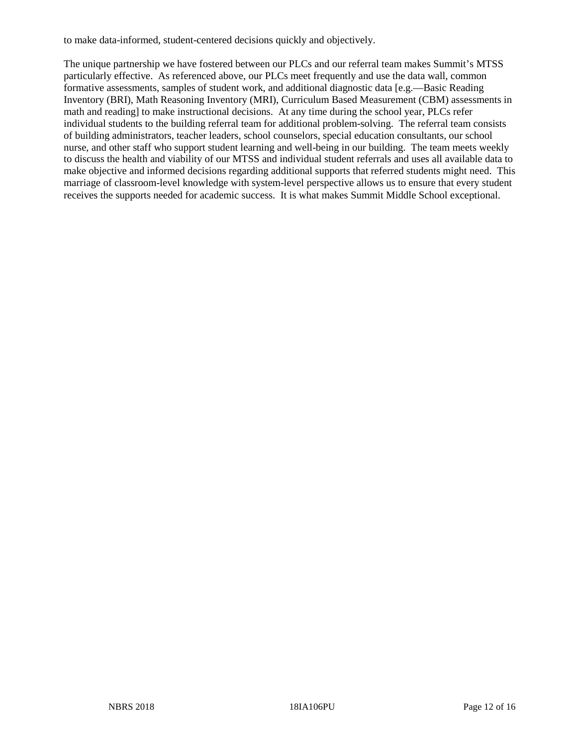to make data-informed, student-centered decisions quickly and objectively.

The unique partnership we have fostered between our PLCs and our referral team makes Summit's MTSS particularly effective. As referenced above, our PLCs meet frequently and use the data wall, common formative assessments, samples of student work, and additional diagnostic data [e.g.—Basic Reading Inventory (BRI), Math Reasoning Inventory (MRI), Curriculum Based Measurement (CBM) assessments in math and reading] to make instructional decisions. At any time during the school year, PLCs refer individual students to the building referral team for additional problem-solving. The referral team consists of building administrators, teacher leaders, school counselors, special education consultants, our school nurse, and other staff who support student learning and well-being in our building. The team meets weekly to discuss the health and viability of our MTSS and individual student referrals and uses all available data to make objective and informed decisions regarding additional supports that referred students might need. This marriage of classroom-level knowledge with system-level perspective allows us to ensure that every student receives the supports needed for academic success. It is what makes Summit Middle School exceptional.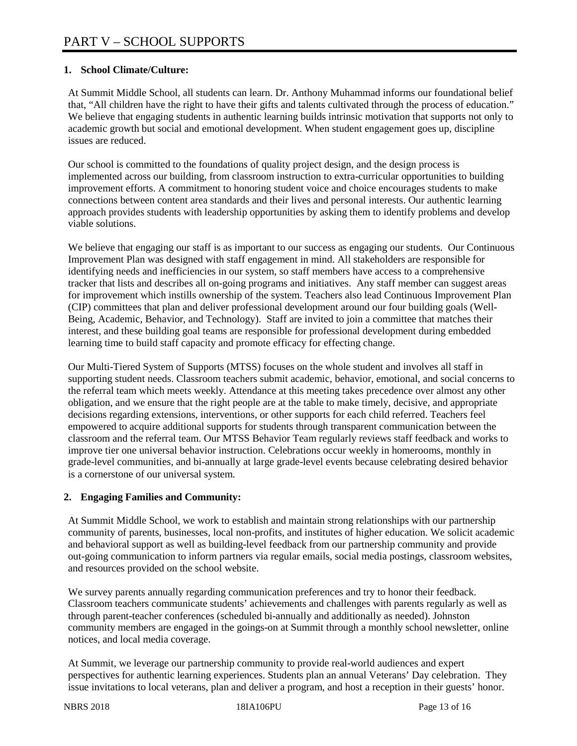# **1. School Climate/Culture:**

At Summit Middle School, all students can learn. Dr. Anthony Muhammad informs our foundational belief that, "All children have the right to have their gifts and talents cultivated through the process of education." We believe that engaging students in authentic learning builds intrinsic motivation that supports not only to academic growth but social and emotional development. When student engagement goes up, discipline issues are reduced.

Our school is committed to the foundations of quality project design, and the design process is implemented across our building, from classroom instruction to extra-curricular opportunities to building improvement efforts. A commitment to honoring student voice and choice encourages students to make connections between content area standards and their lives and personal interests. Our authentic learning approach provides students with leadership opportunities by asking them to identify problems and develop viable solutions.

We believe that engaging our staff is as important to our success as engaging our students. Our Continuous Improvement Plan was designed with staff engagement in mind. All stakeholders are responsible for identifying needs and inefficiencies in our system, so staff members have access to a comprehensive tracker that lists and describes all on-going programs and initiatives. Any staff member can suggest areas for improvement which instills ownership of the system. Teachers also lead Continuous Improvement Plan (CIP) committees that plan and deliver professional development around our four building goals (Well-Being, Academic, Behavior, and Technology). Staff are invited to join a committee that matches their interest, and these building goal teams are responsible for professional development during embedded learning time to build staff capacity and promote efficacy for effecting change.

Our Multi-Tiered System of Supports (MTSS) focuses on the whole student and involves all staff in supporting student needs. Classroom teachers submit academic, behavior, emotional, and social concerns to the referral team which meets weekly. Attendance at this meeting takes precedence over almost any other obligation, and we ensure that the right people are at the table to make timely, decisive, and appropriate decisions regarding extensions, interventions, or other supports for each child referred. Teachers feel empowered to acquire additional supports for students through transparent communication between the classroom and the referral team. Our MTSS Behavior Team regularly reviews staff feedback and works to improve tier one universal behavior instruction. Celebrations occur weekly in homerooms, monthly in grade-level communities, and bi-annually at large grade-level events because celebrating desired behavior is a cornerstone of our universal system.

# **2. Engaging Families and Community:**

At Summit Middle School, we work to establish and maintain strong relationships with our partnership community of parents, businesses, local non-profits, and institutes of higher education. We solicit academic and behavioral support as well as building-level feedback from our partnership community and provide out-going communication to inform partners via regular emails, social media postings, classroom websites, and resources provided on the school website.

We survey parents annually regarding communication preferences and try to honor their feedback. Classroom teachers communicate students' achievements and challenges with parents regularly as well as through parent-teacher conferences (scheduled bi-annually and additionally as needed). Johnston community members are engaged in the goings-on at Summit through a monthly school newsletter, online notices, and local media coverage.

At Summit, we leverage our partnership community to provide real-world audiences and expert perspectives for authentic learning experiences. Students plan an annual Veterans' Day celebration. They issue invitations to local veterans, plan and deliver a program, and host a reception in their guests' honor.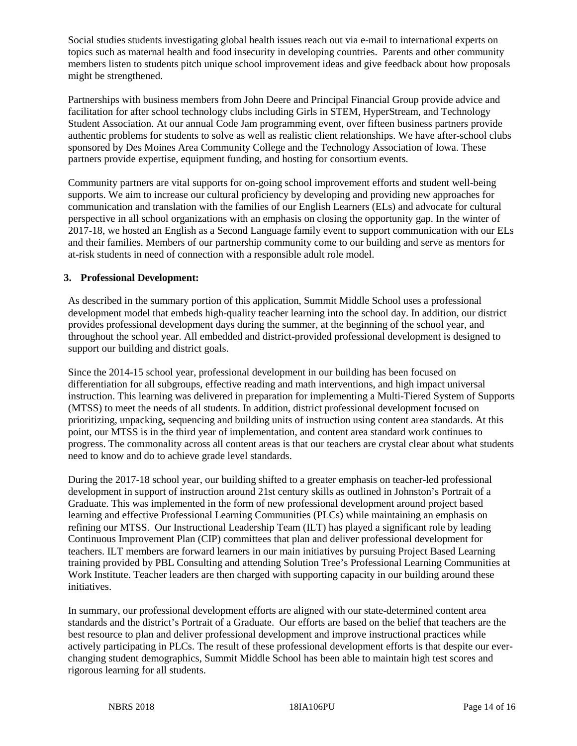Social studies students investigating global health issues reach out via e-mail to international experts on topics such as maternal health and food insecurity in developing countries. Parents and other community members listen to students pitch unique school improvement ideas and give feedback about how proposals might be strengthened.

Partnerships with business members from John Deere and Principal Financial Group provide advice and facilitation for after school technology clubs including Girls in STEM, HyperStream, and Technology Student Association. At our annual Code Jam programming event, over fifteen business partners provide authentic problems for students to solve as well as realistic client relationships. We have after-school clubs sponsored by Des Moines Area Community College and the Technology Association of Iowa. These partners provide expertise, equipment funding, and hosting for consortium events.

Community partners are vital supports for on-going school improvement efforts and student well-being supports. We aim to increase our cultural proficiency by developing and providing new approaches for communication and translation with the families of our English Learners (ELs) and advocate for cultural perspective in all school organizations with an emphasis on closing the opportunity gap. In the winter of 2017-18, we hosted an English as a Second Language family event to support communication with our ELs and their families. Members of our partnership community come to our building and serve as mentors for at-risk students in need of connection with a responsible adult role model.

# **3. Professional Development:**

As described in the summary portion of this application, Summit Middle School uses a professional development model that embeds high-quality teacher learning into the school day. In addition, our district provides professional development days during the summer, at the beginning of the school year, and throughout the school year. All embedded and district-provided professional development is designed to support our building and district goals.

Since the 2014-15 school year, professional development in our building has been focused on differentiation for all subgroups, effective reading and math interventions, and high impact universal instruction. This learning was delivered in preparation for implementing a Multi-Tiered System of Supports (MTSS) to meet the needs of all students. In addition, district professional development focused on prioritizing, unpacking, sequencing and building units of instruction using content area standards. At this point, our MTSS is in the third year of implementation, and content area standard work continues to progress. The commonality across all content areas is that our teachers are crystal clear about what students need to know and do to achieve grade level standards.

During the 2017-18 school year, our building shifted to a greater emphasis on teacher-led professional development in support of instruction around 21st century skills as outlined in Johnston's Portrait of a Graduate. This was implemented in the form of new professional development around project based learning and effective Professional Learning Communities (PLCs) while maintaining an emphasis on refining our MTSS. Our Instructional Leadership Team (ILT) has played a significant role by leading Continuous Improvement Plan (CIP) committees that plan and deliver professional development for teachers. ILT members are forward learners in our main initiatives by pursuing Project Based Learning training provided by PBL Consulting and attending Solution Tree's Professional Learning Communities at Work Institute. Teacher leaders are then charged with supporting capacity in our building around these initiatives.

In summary, our professional development efforts are aligned with our state-determined content area standards and the district's Portrait of a Graduate. Our efforts are based on the belief that teachers are the best resource to plan and deliver professional development and improve instructional practices while actively participating in PLCs. The result of these professional development efforts is that despite our everchanging student demographics, Summit Middle School has been able to maintain high test scores and rigorous learning for all students.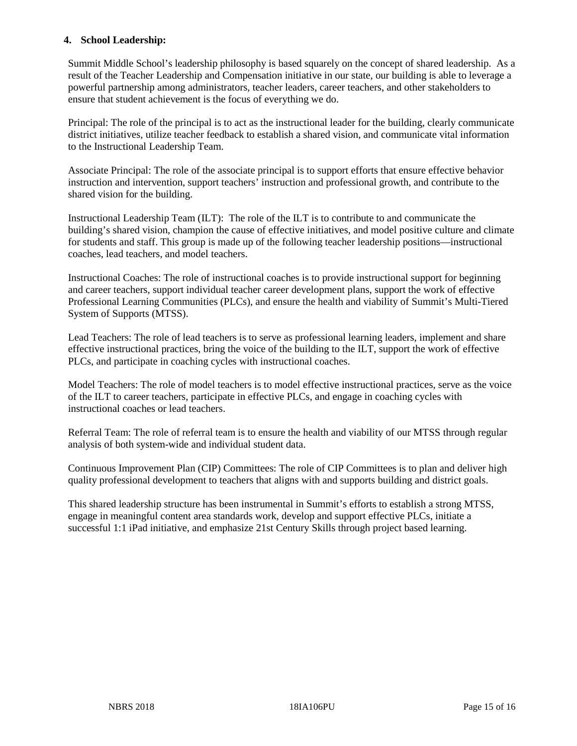### **4. School Leadership:**

Summit Middle School's leadership philosophy is based squarely on the concept of shared leadership. As a result of the Teacher Leadership and Compensation initiative in our state, our building is able to leverage a powerful partnership among administrators, teacher leaders, career teachers, and other stakeholders to ensure that student achievement is the focus of everything we do.

Principal: The role of the principal is to act as the instructional leader for the building, clearly communicate district initiatives, utilize teacher feedback to establish a shared vision, and communicate vital information to the Instructional Leadership Team.

Associate Principal: The role of the associate principal is to support efforts that ensure effective behavior instruction and intervention, support teachers' instruction and professional growth, and contribute to the shared vision for the building.

Instructional Leadership Team (ILT): The role of the ILT is to contribute to and communicate the building's shared vision, champion the cause of effective initiatives, and model positive culture and climate for students and staff. This group is made up of the following teacher leadership positions—instructional coaches, lead teachers, and model teachers.

Instructional Coaches: The role of instructional coaches is to provide instructional support for beginning and career teachers, support individual teacher career development plans, support the work of effective Professional Learning Communities (PLCs), and ensure the health and viability of Summit's Multi-Tiered System of Supports (MTSS).

Lead Teachers: The role of lead teachers is to serve as professional learning leaders, implement and share effective instructional practices, bring the voice of the building to the ILT, support the work of effective PLCs, and participate in coaching cycles with instructional coaches.

Model Teachers: The role of model teachers is to model effective instructional practices, serve as the voice of the ILT to career teachers, participate in effective PLCs, and engage in coaching cycles with instructional coaches or lead teachers.

Referral Team: The role of referral team is to ensure the health and viability of our MTSS through regular analysis of both system-wide and individual student data.

Continuous Improvement Plan (CIP) Committees: The role of CIP Committees is to plan and deliver high quality professional development to teachers that aligns with and supports building and district goals.

This shared leadership structure has been instrumental in Summit's efforts to establish a strong MTSS, engage in meaningful content area standards work, develop and support effective PLCs, initiate a successful 1:1 iPad initiative, and emphasize 21st Century Skills through project based learning.